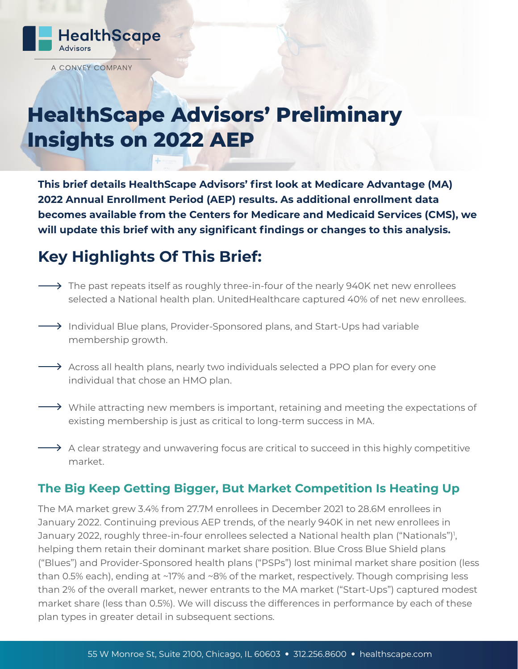

A CONVEY COMPANY

# **HealthScape Advisors' Preliminary Insights on 2022 AEP**

**This brief details HealthScape Advisors' first look at Medicare Advantage (MA) 2022 Annual Enrollment Period (AEP) results. As additional enrollment data becomes available from the Centers for Medicare and Medicaid Services (CMS), we will update this brief with any significant findings or changes to this analysis.** 

# **Key Highlights Of This Brief:**

- $\longrightarrow$  The past repeats itself as roughly three-in-four of the nearly 940K net new enrollees selected a National health plan. UnitedHealthcare captured 40% of net new enrollees.
- $\rightarrow$  Individual Blue plans, Provider-Sponsored plans, and Start-Ups had variable membership growth.
- $\rightarrow$  Across all health plans, nearly two individuals selected a PPO plan for every one individual that chose an HMO plan.
- $\rightarrow$  While attracting new members is important, retaining and meeting the expectations of existing membership is just as critical to long-term success in MA.
- $\rightarrow$  A clear strategy and unwavering focus are critical to succeed in this highly competitive market.

### **The Big Keep Getting Bigger, But Market Competition Is Heating Up**

The MA market grew 3.4% from 27.7M enrollees in December 2021 to 28.6M enrollees in January 2022. Continuing previous AEP trends, of the nearly 940K in net new enrollees in January 2022, roughly three-in-four enrollees selected a National health plan ("Nationals")<sup>1</sup>, helping them retain their dominant market share position. Blue Cross Blue Shield plans ("Blues") and Provider-Sponsored health plans ("PSPs") lost minimal market share position (less than 0.5% each), ending at ~17% and ~8% of the market, respectively. Though comprising less than 2% of the overall market, newer entrants to the MA market ("Start-Ups") captured modest market share (less than 0.5%). We will discuss the differences in performance by each of these plan types in greater detail in subsequent sections.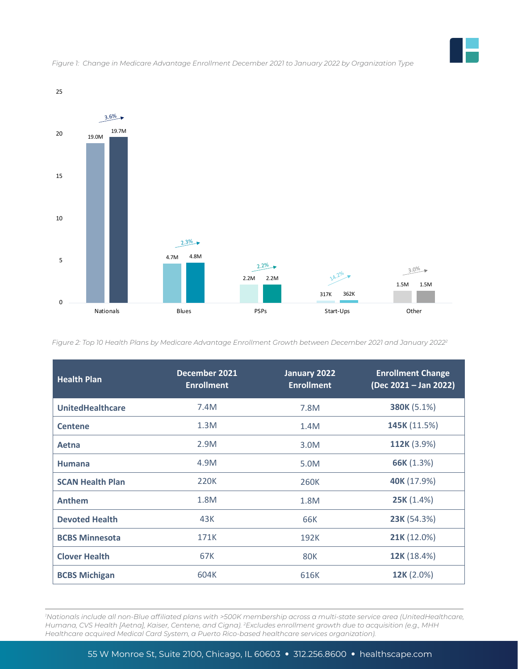

*Figure 1: Change in Medicare Advantage Enrollment December 2021 to January 2022 by Organization Type*

*Figure 2: Top 10 Health Plans by Medicare Advantage Enrollment Growth between December 2021 and January 20222*

| <b>Health Plan</b>      | December 2021<br><b>Enrollment</b> | January 2022<br><b>Enrollment</b> | <b>Enrollment Change</b><br>(Dec 2021 - Jan 2022) |
|-------------------------|------------------------------------|-----------------------------------|---------------------------------------------------|
| <b>UnitedHealthcare</b> | 7.4M                               | 7.8M                              | 380K (5.1%)                                       |
| <b>Centene</b>          | 1.3M                               | 1.4M                              | 145K (11.5%)                                      |
| Aetna                   | 2.9M                               | 3.0M                              | 112K (3.9%)                                       |
| <b>Humana</b>           | 4.9M                               | 5.0M                              | 66K (1.3%)                                        |
| <b>SCAN Health Plan</b> | 220K                               | 260K                              | 40K (17.9%)                                       |
| <b>Anthem</b>           | 1.8M                               | 1.8M                              | 25K (1.4%)                                        |
| <b>Devoted Health</b>   | 43K                                | 66K                               | 23K (54.3%)                                       |
| <b>BCBS Minnesota</b>   | 171K                               | 192K                              | 21K (12.0%)                                       |
| <b>Clover Health</b>    | 67K                                | 80K                               | 12K (18.4%)                                       |
| <b>BCBS Michigan</b>    | 604K                               | 616K                              | 12K (2.0%)                                        |

*1 Nationals include all non-Blue affiliated plans with >500K membership across a multi-state service area (UnitedHealthcare, Humana, CVS Health [Aetna], Kaiser, Centene, and Cigna). 2 Excludes enrollment growth due to acquisition (e.g., MHH Healthcare acquired Medical Card System, a Puerto Rico-based healthcare services organization).*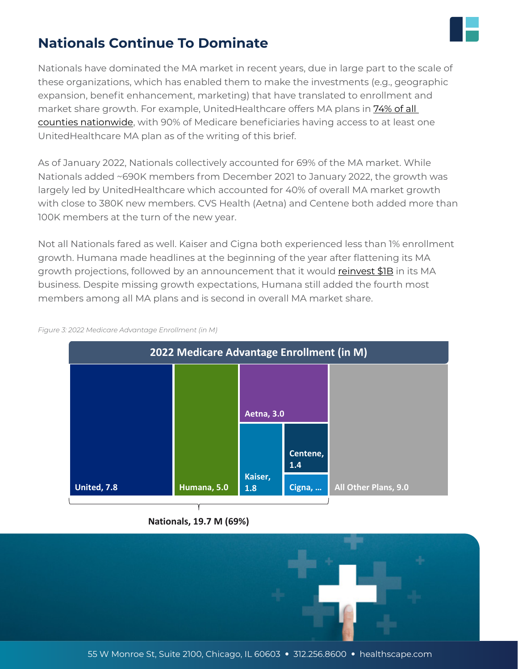

## **Nationals Continue To Dominate**

Nationals have dominated the MA market in recent years, due in large part to the scale of these organizations, which has enabled them to make the investments (e.g., geographic expansion, benefit enhancement, marketing) that have translated to enrollment and market share growth. For example, UnitedHealthcare offers MA plans in [74% of all](https://www.kff.org/medicare/issue-brief/medicare-advantage-2022-spotlight-first-look/)  [counties nationwide](https://www.kff.org/medicare/issue-brief/medicare-advantage-2022-spotlight-first-look/), with 90% of Medicare beneficiaries having access to at least one UnitedHealthcare MA plan as of the writing of this brief.

As of January 2022, Nationals collectively accounted for 69% of the MA market. While Nationals added ~690K members from December 2021 to January 2022, the growth was largely led by UnitedHealthcare which accounted for 40% of overall MA market growth with close to 380K new members. CVS Health (Aetna) and Centene both added more than 100K members at the turn of the new year.

Not all Nationals fared as well. Kaiser and Cigna both experienced less than 1% enrollment growth. Humana made headlines at the beginning of the year after flattening its MA growth projections, followed by an announcement that it would [reinvest \\$1B](https://www.modernhealthcare.com/insurance/humana-cut-costs-invest-1b-medicare-advantage) in its MA business. Despite missing growth expectations, Humana still added the fourth most members among all MA plans and is second in overall MA market share.



*Figure 3: 2022 Medicare Advantage Enrollment (in M)*

#### **Nationals, 19.7 M (69%)**

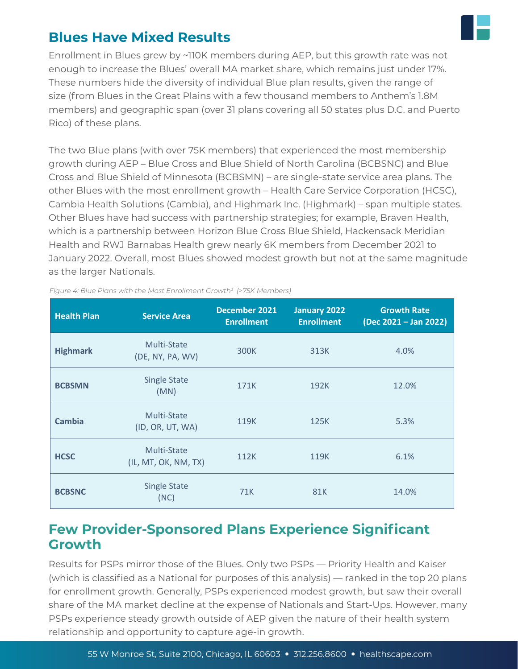

### **Blues Have Mixed Results**

Enrollment in Blues grew by ~110K members during AEP, but this growth rate was not enough to increase the Blues' overall MA market share, which remains just under 17%. These numbers hide the diversity of individual Blue plan results, given the range of size (from Blues in the Great Plains with a few thousand members to Anthem's 1.8M members) and geographic span (over 31 plans covering all 50 states plus D.C. and Puerto Rico) of these plans.

The two Blue plans (with over 75K members) that experienced the most membership growth during AEP – Blue Cross and Blue Shield of North Carolina (BCBSNC) and Blue Cross and Blue Shield of Minnesota (BCBSMN) – are single-state service area plans. The other Blues with the most enrollment growth – Health Care Service Corporation (HCSC), Cambia Health Solutions (Cambia), and Highmark Inc. (Highmark) – span multiple states. Other Blues have had success with partnership strategies; for example, Braven Health, which is a partnership between Horizon Blue Cross Blue Shield, Hackensack Meridian Health and RWJ Barnabas Health grew nearly 6K members from December 2021 to January 2022. Overall, most Blues showed modest growth but not at the same magnitude as the larger Nationals.

| <b>Health Plan</b> | <b>Service Area</b>                 | December 2021<br><b>Enrollment</b> | <b>January 2022</b><br><b>Enrollment</b> | <b>Growth Rate</b><br>(Dec 2021 – Jan 2022) |
|--------------------|-------------------------------------|------------------------------------|------------------------------------------|---------------------------------------------|
| <b>Highmark</b>    | Multi-State<br>(DE, NY, PA, WV)     | 300K                               | 313K                                     | 4.0%                                        |
| <b>BCBSMN</b>      | <b>Single State</b><br>(MN)         | 171K                               | 192K                                     | 12.0%                                       |
| <b>Cambia</b>      | Multi-State<br>(ID, OR, UT, WA)     | 119K                               | 125K                                     | 5.3%                                        |
| <b>HCSC</b>        | Multi-State<br>(IL, MT, OK, NM, TX) | 112K                               | 119K                                     | 6.1%                                        |
| <b>BCBSNC</b>      | <b>Single State</b><br>(NC)         | 71K                                | 81K                                      | 14.0%                                       |

*Figure 4: Blue Plans with the Most Enrollment Growth3 (>75K Members)*

### **Few Provider-Sponsored Plans Experience Significant Growth**

Results for PSPs mirror those of the Blues. Only two PSPs — Priority Health and Kaiser (which is classified as a National for purposes of this analysis) — ranked in the top 20 plans for enrollment growth. Generally, PSPs experienced modest growth, but saw their overall share of the MA market decline at the expense of Nationals and Start-Ups. However, many PSPs experience steady growth outside of AEP given the nature of their health system relationship and opportunity to capture age-in growth.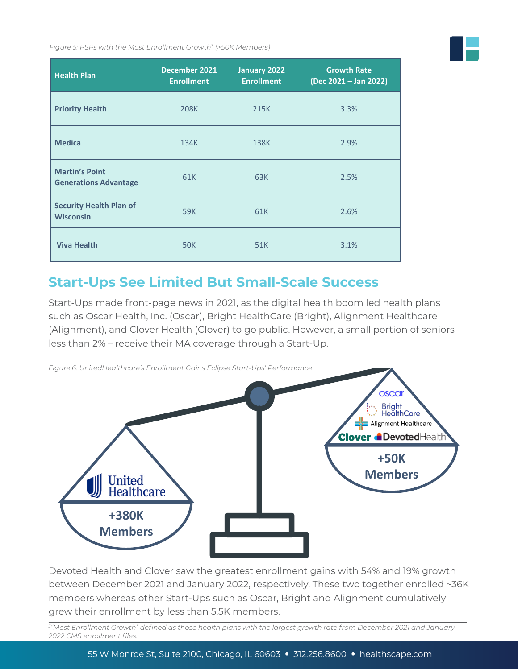*Figure 5: PSPs with the Most Enrollment Growth3 (>50K Members)*

| <b>Health Plan</b>                                    | December 2021<br><b>Enrollment</b> | January 2022<br><b>Enrollment</b> | <b>Growth Rate</b><br>(Dec 2021 - Jan 2022) |
|-------------------------------------------------------|------------------------------------|-----------------------------------|---------------------------------------------|
| <b>Priority Health</b>                                | 208K                               | 215K                              | 3.3%                                        |
| <b>Medica</b>                                         | 134K                               | 138K                              | 2.9%                                        |
| <b>Martin's Point</b><br><b>Generations Advantage</b> | 61K                                | 63K                               | 2.5%                                        |
| <b>Security Health Plan of</b><br><b>Wisconsin</b>    | 59K                                | 61K                               | 2.6%                                        |
| <b>Viva Health</b>                                    | <b>50K</b>                         | 51K                               | 3.1%                                        |

### **Start-Ups See Limited But Small-Scale Success**

Start-Ups made front-page news in 2021, as the digital health boom led health plans such as Oscar Health, Inc. (Oscar), Bright HealthCare (Bright), Alignment Healthcare (Alignment), and Clover Health (Clover) to go public. However, a small portion of seniors – less than 2% – receive their MA coverage through a Start-Up.



Devoted Health and Clover saw the greatest enrollment gains with 54% and 19% growth between December 2021 and January 2022, respectively. These two together enrolled ~36K members whereas other Start-Ups such as Oscar, Bright and Alignment cumulatively grew their enrollment by less than 5.5K members.

*3 "Most Enrollment Growth" defined as those health plans with the largest growth rate from December 2021 and January 2022 CMS enrollment files.*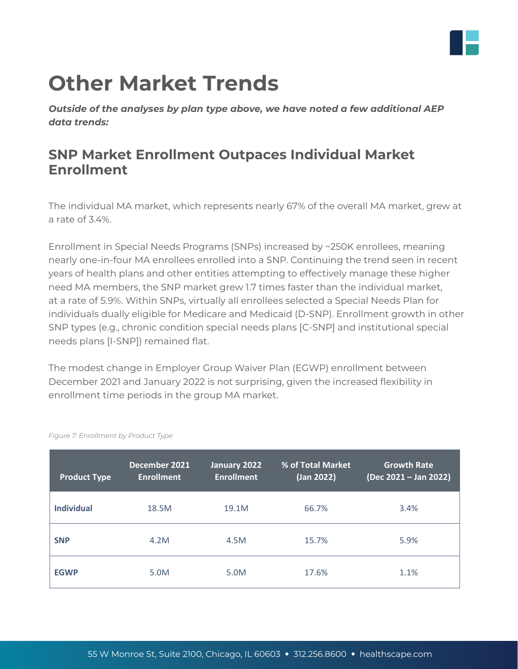

# **Other Market Trends**

*Outside of the analyses by plan type above, we have noted a few additional AEP data trends:*

## **SNP Market Enrollment Outpaces Individual Market Enrollment**

The individual MA market, which represents nearly 67% of the overall MA market, grew at a rate of 3.4%.

Enrollment in Special Needs Programs (SNPs) increased by ~250K enrollees, meaning nearly one-in-four MA enrollees enrolled into a SNP. Continuing the trend seen in recent years of health plans and other entities attempting to effectively manage these higher need MA members, the SNP market grew 1.7 times faster than the individual market, at a rate of 5.9%. Within SNPs, virtually all enrollees selected a Special Needs Plan for individuals dually eligible for Medicare and Medicaid (D-SNP). Enrollment growth in other SNP types (e.g., chronic condition special needs plans [C-SNP] and institutional special needs plans [I-SNP]) remained flat.

The modest change in Employer Group Waiver Plan (EGWP) enrollment between December 2021 and January 2022 is not surprising, given the increased flexibility in enrollment time periods in the group MA market.

| <b>Product Type</b> | December 2021<br><b>Enrollment</b> | January 2022<br><b>Enrollment</b> | % of Total Market<br>(Jan 2022) | <b>Growth Rate</b><br>(Dec 2021 - Jan 2022) |
|---------------------|------------------------------------|-----------------------------------|---------------------------------|---------------------------------------------|
| <b>Individual</b>   | 18.5M                              | 19.1M                             | 66.7%                           | 3.4%                                        |
| <b>SNP</b>          | 4.2M                               | 4.5M                              | 15.7%                           | 5.9%                                        |
| <b>EGWP</b>         | 5.0M                               | 5.0M                              | 17.6%                           | 1.1%                                        |

*Figure 7: Enrollment by Product Type*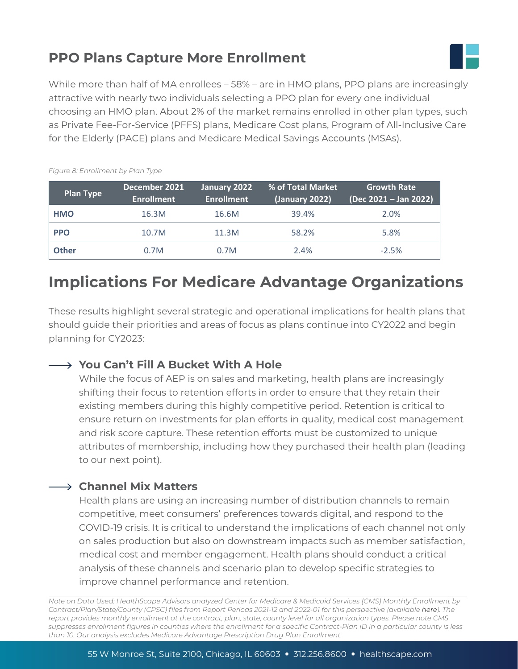# **PPO Plans Capture More Enrollment**



While more than half of MA enrollees – 58% – are in HMO plans, PPO plans are increasingly attractive with nearly two individuals selecting a PPO plan for every one individual choosing an HMO plan. About 2% of the market remains enrolled in other plan types, such as Private Fee-For-Service (PFFS) plans, Medicare Cost plans, Program of All-Inclusive Care for the Elderly (PACE) plans and Medicare Medical Savings Accounts (MSAs).

| <b>Plan Type</b> | December 2021<br><b>Enrollment</b> | January 2022<br><b>Enrollment</b> | % of Total Market<br>(January 2022) | <b>Growth Rate</b><br>(Dec 2021 – Jan 2022) |
|------------------|------------------------------------|-----------------------------------|-------------------------------------|---------------------------------------------|
| <b>HMO</b>       | 16.3M                              | 16.6M                             | 39.4%                               | 2.0%                                        |
| <b>PPO</b>       | 10.7M                              | 11.3M                             | 58.2%                               | 5.8%                                        |
| <b>Other</b>     | 0.7M                               | 0.7M                              | 2.4%                                | $-2.5%$                                     |

#### *Figure 8: Enrollment by Plan Type*

# **Implications For Medicare Advantage Organizations**

These results highlight several strategic and operational implications for health plans that should guide their priorities and areas of focus as plans continue into CY2022 and begin planning for CY2023:

### **You Can't Fill A Bucket With A Hole**

While the focus of AEP is on sales and marketing, health plans are increasingly shifting their focus to retention efforts in order to ensure that they retain their existing members during this highly competitive period. Retention is critical to ensure return on investments for plan efforts in quality, medical cost management and risk score capture. These retention efforts must be customized to unique attributes of membership, including how they purchased their health plan (leading to our next point).

### **Channel Mix Matters**

Health plans are using an increasing number of distribution channels to remain competitive, meet consumers' preferences towards digital, and respond to the COVID-19 crisis. It is critical to understand the implications of each channel not only on sales production but also on downstream impacts such as member satisfaction, medical cost and member engagement. Health plans should conduct a critical analysis of these channels and scenario plan to develop specific strategies to improve channel performance and retention.

*Note on Data Used: HealthScape Advisors analyzed Center for Medicare & Medicaid Services (CMS) Monthly Enrollment by Contract/Plan/State/County (CPSC) files from Report Periods 2021-12 and 2022-01 for this perspective (available [here\)](https://www.cms.gov/Research-Statistics-Data-and-Systems/Statistics-Trends-and-Reports/MCRAdvPartDEnrolData/Monthly-Enrollment-by-Contract-Plan-State-County). The report provides monthly enrollment at the contract, plan, state, county level for all organization types. Please note CMS suppresses enrollment figures in counties where the enrollment for a specific Contract-Plan ID in a particular county is less than 10. Our analysis excludes Medicare Advantage Prescription Drug Plan Enrollment.*